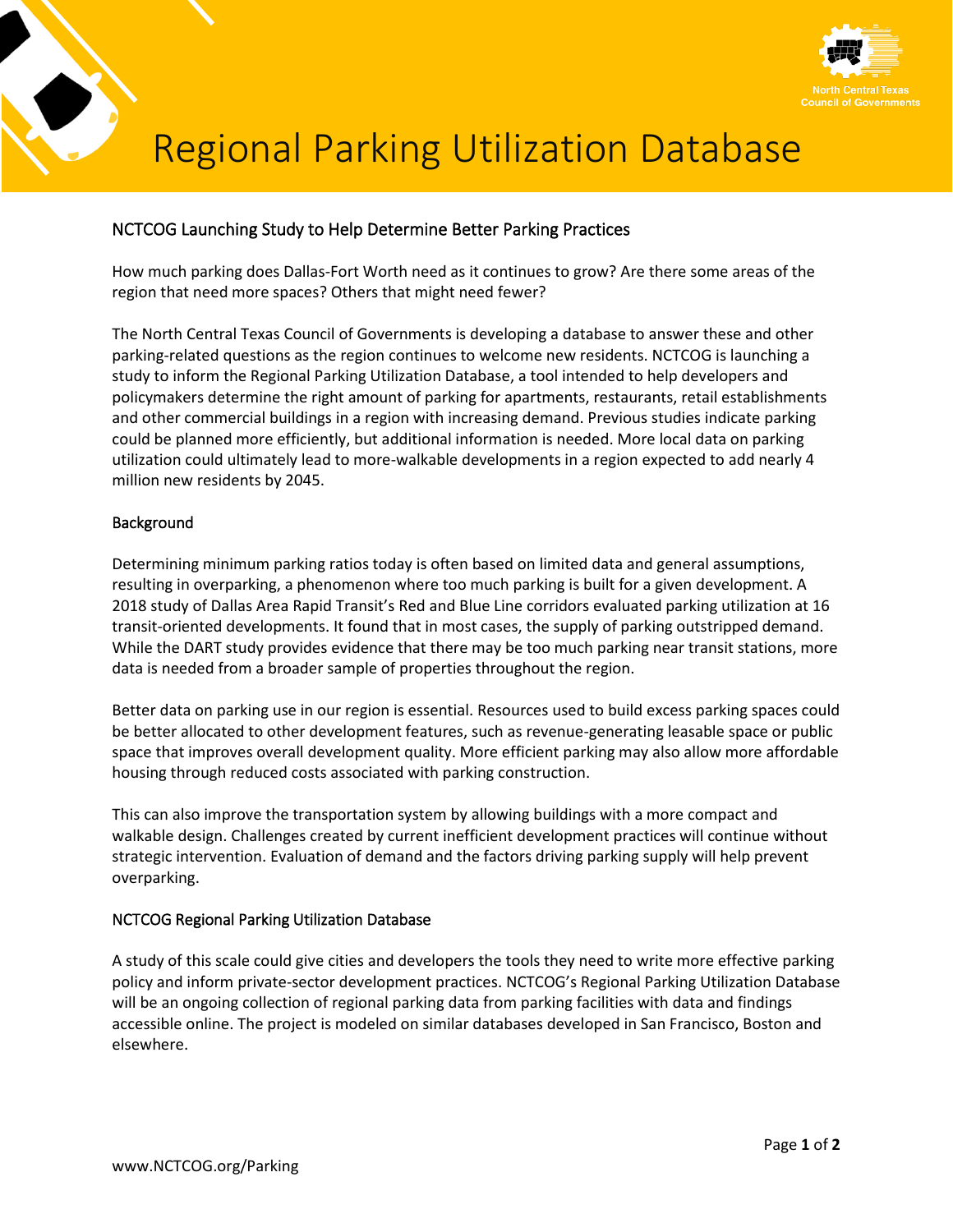

# Regional Parking Utilization Database

## NCTCOG Launching Study to Help Determine Better Parking Practices

How much parking does Dallas-Fort Worth need as it continues to grow? Are there some areas of the region that need more spaces? Others that might need fewer?

The North Central Texas Council of Governments is developing a database to answer these and other parking-related questions as the region continues to welcome new residents. NCTCOG is launching a study to inform the Regional Parking Utilization Database, a tool intended to help developers and policymakers determine the right amount of parking for apartments, restaurants, retail establishments and other commercial buildings in a region with increasing demand. Previous studies indicate parking could be planned more efficiently, but additional information is needed. More local data on parking utilization could ultimately lead to more-walkable developments in a region expected to add nearly 4 million new residents by 2045.

#### Background

Determining minimum parking ratios today is often based on limited data and general assumptions, resulting in overparking, a phenomenon where too much parking is built for a given development. A 2018 study of Dallas Area Rapid Transit's Red and Blue Line corridors evaluated parking utilization at 16 transit-oriented developments. It found that in most cases, the supply of parking outstripped demand. While the DART study provides evidence that there may be too much parking near transit stations, more data is needed from a broader sample of properties throughout the region.

Better data on parking use in our region is essential. Resources used to build excess parking spaces could be better allocated to other development features, such as revenue-generating leasable space or public space that improves overall development quality. More efficient parking may also allow more affordable housing through reduced costs associated with parking construction.

This can also improve the transportation system by allowing buildings with a more compact and walkable design. Challenges created by current inefficient development practices will continue without strategic intervention. Evaluation of demand and the factors driving parking supply will help prevent overparking.

#### NCTCOG Regional Parking Utilization Database

A study of this scale could give cities and developers the tools they need to write more effective parking policy and inform private-sector development practices. NCTCOG's Regional Parking Utilization Database will be an ongoing collection of regional parking data from parking facilities with data and findings accessible online. The project is modeled on similar databases developed in San Francisco, Boston and elsewhere.